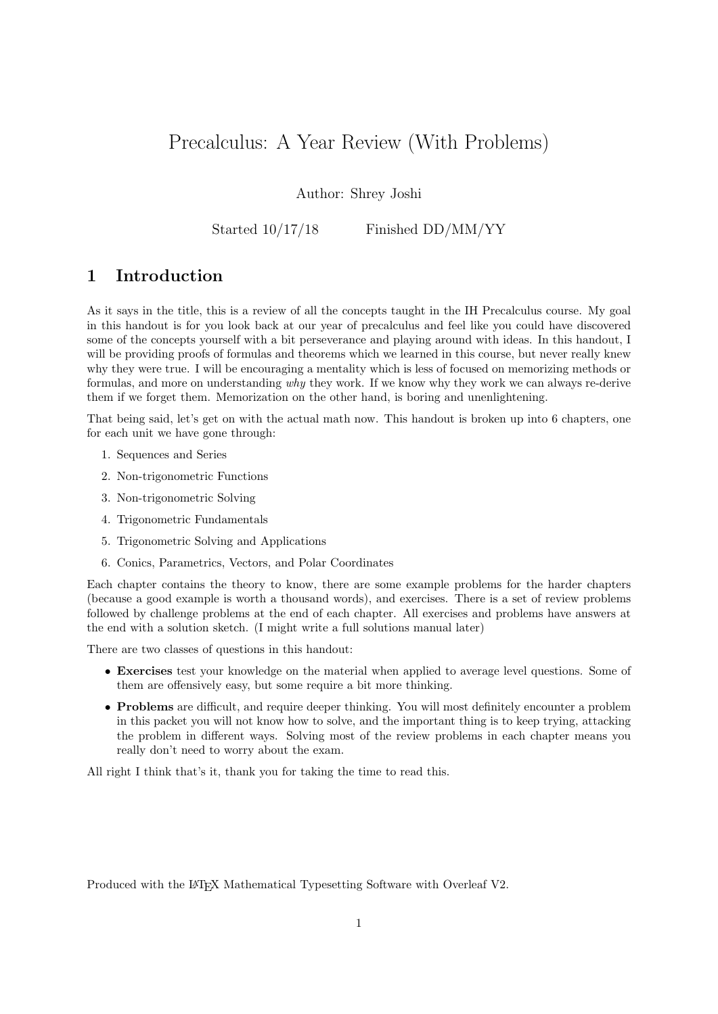# Precalculus: A Year Review (With Problems)

Author: Shrey Joshi

Started  $10/17/18$  Finished DD/MM/YY

# 1 Introduction

As it says in the title, this is a review of all the concepts taught in the IH Precalculus course. My goal in this handout is for you look back at our year of precalculus and feel like you could have discovered some of the concepts yourself with a bit perseverance and playing around with ideas. In this handout, I will be providing proofs of formulas and theorems which we learned in this course, but never really knew why they were true. I will be encouraging a mentality which is less of focused on memorizing methods or formulas, and more on understanding why they work. If we know why they work we can always re-derive them if we forget them. Memorization on the other hand, is boring and unenlightening.

That being said, let's get on with the actual math now. This handout is broken up into 6 chapters, one for each unit we have gone through:

- 1. Sequences and Series
- 2. Non-trigonometric Functions
- 3. Non-trigonometric Solving
- 4. Trigonometric Fundamentals
- 5. Trigonometric Solving and Applications
- 6. Conics, Parametrics, Vectors, and Polar Coordinates

Each chapter contains the theory to know, there are some example problems for the harder chapters (because a good example is worth a thousand words), and exercises. There is a set of review problems followed by challenge problems at the end of each chapter. All exercises and problems have answers at the end with a solution sketch. (I might write a full solutions manual later)

There are two classes of questions in this handout:

- Exercises test your knowledge on the material when applied to average level questions. Some of them are offensively easy, but some require a bit more thinking.
- Problems are difficult, and require deeper thinking. You will most definitely encounter a problem in this packet you will not know how to solve, and the important thing is to keep trying, attacking the problem in different ways. Solving most of the review problems in each chapter means you really don't need to worry about the exam.

All right I think that's it, thank you for taking the time to read this.

Produced with the LATEX Mathematical Typesetting Software with Overleaf V2.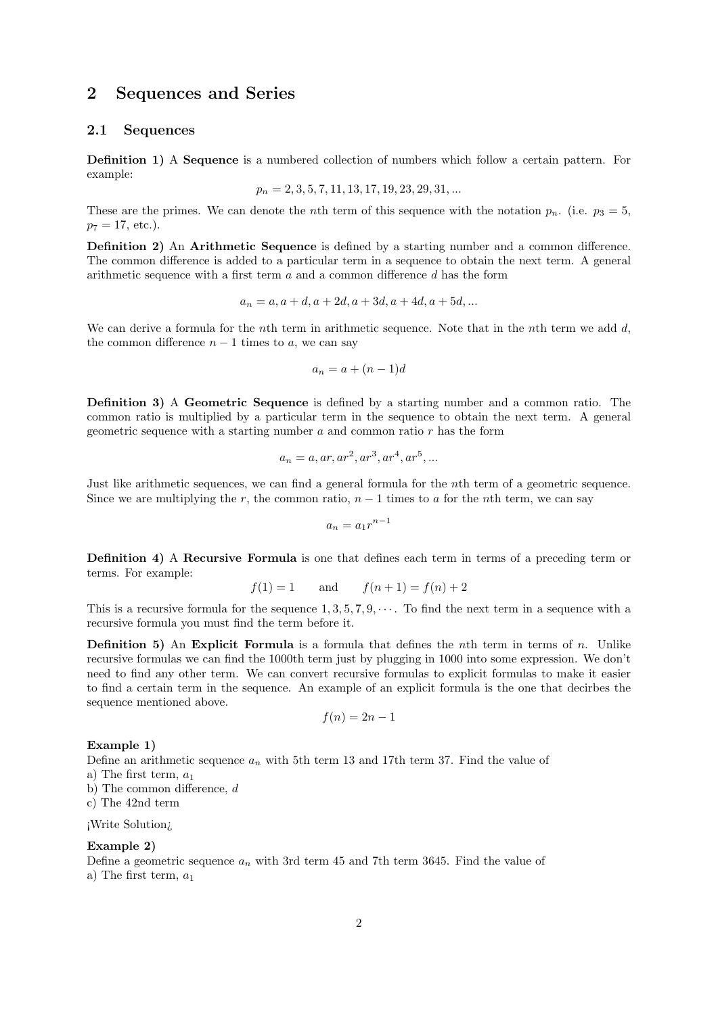# 2 Sequences and Series

### 2.1 Sequences

Definition 1) A Sequence is a numbered collection of numbers which follow a certain pattern. For example:

$$
p_n = 2, 3, 5, 7, 11, 13, 17, 19, 23, 29, 31, \dots
$$

These are the primes. We can denote the *n*th term of this sequence with the notation  $p_n$ . (i.e.  $p_3 = 5$ ,  $p_7 = 17$ , etc.).

**Definition 2)** An **Arithmetic Sequence** is defined by a starting number and a common difference. The common difference is added to a particular term in a sequence to obtain the next term. A general arithmetic sequence with a first term  $a$  and a common difference  $d$  has the form

$$
a_n = a, a + d, a + 2d, a + 3d, a + 4d, a + 5d, ...
$$

We can derive a formula for the nth term in arithmetic sequence. Note that in the nth term we add  $d$ , the common difference  $n - 1$  times to a, we can say

$$
a_n = a + (n-1)d
$$

Definition 3) A Geometric Sequence is defined by a starting number and a common ratio. The common ratio is multiplied by a particular term in the sequence to obtain the next term. A general geometric sequence with a starting number  $a$  and common ratio  $r$  has the form

$$
a_n = a, ar, ar^2, ar^3, ar^4, ar^5, \dots
$$

Just like arithmetic sequences, we can find a general formula for the nth term of a geometric sequence. Since we are multiplying the r, the common ratio,  $n - 1$  times to a for the nth term, we can say

$$
a_n = a_1 r^{n-1}
$$

Definition 4) A Recursive Formula is one that defines each term in terms of a preceding term or terms. For example:

$$
f(1) = 1
$$
 and  $f(n+1) = f(n) + 2$ 

This is a recursive formula for the sequence  $1, 3, 5, 7, 9, \cdots$ . To find the next term in a sequence with a recursive formula you must find the term before it.

Definition 5) An Explicit Formula is a formula that defines the nth term in terms of n. Unlike recursive formulas we can find the 1000th term just by plugging in 1000 into some expression. We don't need to find any other term. We can convert recursive formulas to explicit formulas to make it easier to find a certain term in the sequence. An example of an explicit formula is the one that decirbes the sequence mentioned above.

$$
f(n) = 2n - 1
$$

#### Example 1)

Define an arithmetic sequence  $a_n$  with 5th term 13 and 17th term 37. Find the value of a) The first term,  $a_1$ 

b) The common difference, d

c) The 42nd term

#### ¡Write Solution¿

#### Example 2)

Define a geometric sequence  $a_n$  with 3rd term 45 and 7th term 3645. Find the value of a) The first term,  $a_1$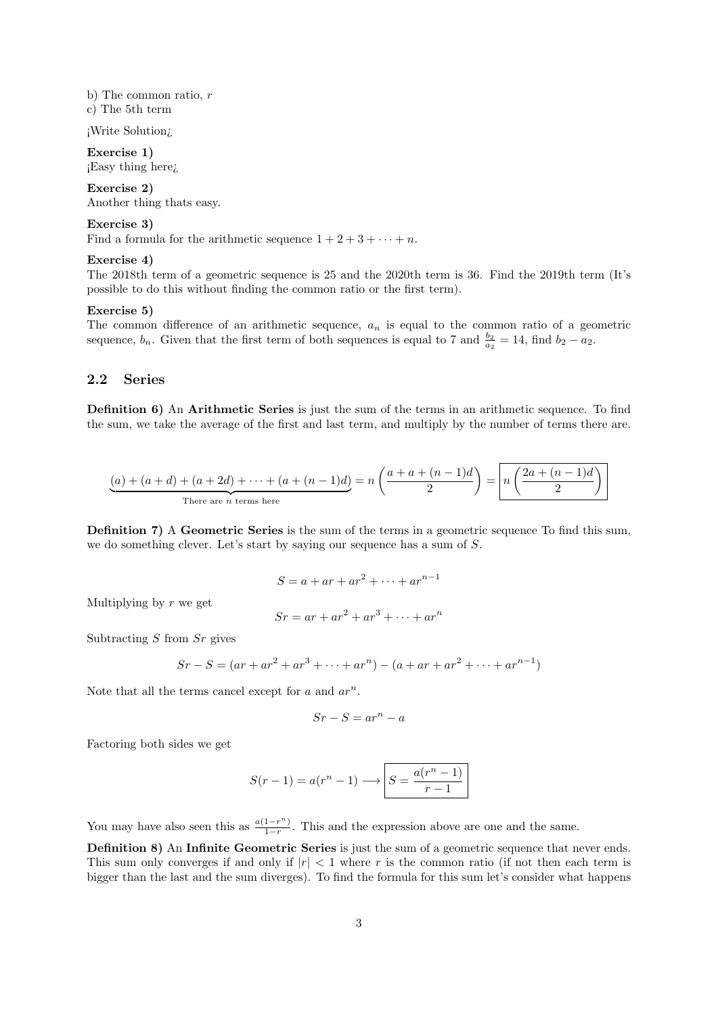b) The common ratio, r c) The 5th term

¡Write Solution¿

Exercise 1) ¡Easy thing here¿

Exercise 2) Another thing thats easy.

Exercise 3)

Find a formula for the arithmetic sequence  $1 + 2 + 3 + \cdots + n$ .

#### Exercise 4)

The 2018th term of a geometric sequence is 25 and the 2020th term is 36. Find the 2019th term (It's possible to do this without finding the common ratio or the first term).

#### Exercise 5)

The common difference of an arithmetic sequence,  $a_n$  is equal to the common ratio of a geometric sequence,  $b_n$ . Given that the first term of both sequences is equal to 7 and  $\frac{b_2}{a_2} = 14$ , find  $b_2 - a_2$ .

#### 2.2 Series

Definition 6) An Arithmetic Series is just the sum of the terms in an arithmetic sequence. To find the sum, we take the average of the first and last term, and multiply by the number of terms there are.

$$
\underbrace{(a) + (a+d) + (a+2d) + \dots + (a+(n-1)d)}_{\text{There are } n \text{ terms here}} = n \left( \frac{a+a+(n-1)d}{2} \right) = n \left( \frac{2a+(n-1)d}{2} \right)
$$

Definition 7) A Geometric Series is the sum of the terms in a geometric sequence To find this sum, we do something clever. Let's start by saying our sequence has a sum of S.

$$
S = a + ar + ar^2 + \dots + ar^{n-1}
$$

Multiplying by  $r$  we get

$$
Sr = ar + ar2 + ar3 + \dots + arn
$$

Subtracting  $S$  from  $Sr$  gives

$$
Sr-S = (ar + ar2 + ar3 + \dots + arn) - (a + ar + ar2 + \dots + arn-1)
$$

Note that all the terms cancel except for  $a$  and  $ar^n$ .

$$
Sr-S=ar^n-a
$$

Factoring both sides we get

$$
S(r-1) = a(r^n - 1) \longrightarrow S = \frac{a(r^n - 1)}{r - 1}
$$

You may have also seen this as  $\frac{a(1-r^n)}{1-r}$  $\frac{1-r^{n}}{1-r}$ . This and the expression above are one and the same.

Definition 8) An Infinite Geometric Series is just the sum of a geometric sequence that never ends. This sum only converges if and only if  $|r| < 1$  where r is the common ratio (if not then each term is bigger than the last and the sum diverges). To find the formula for this sum let's consider what happens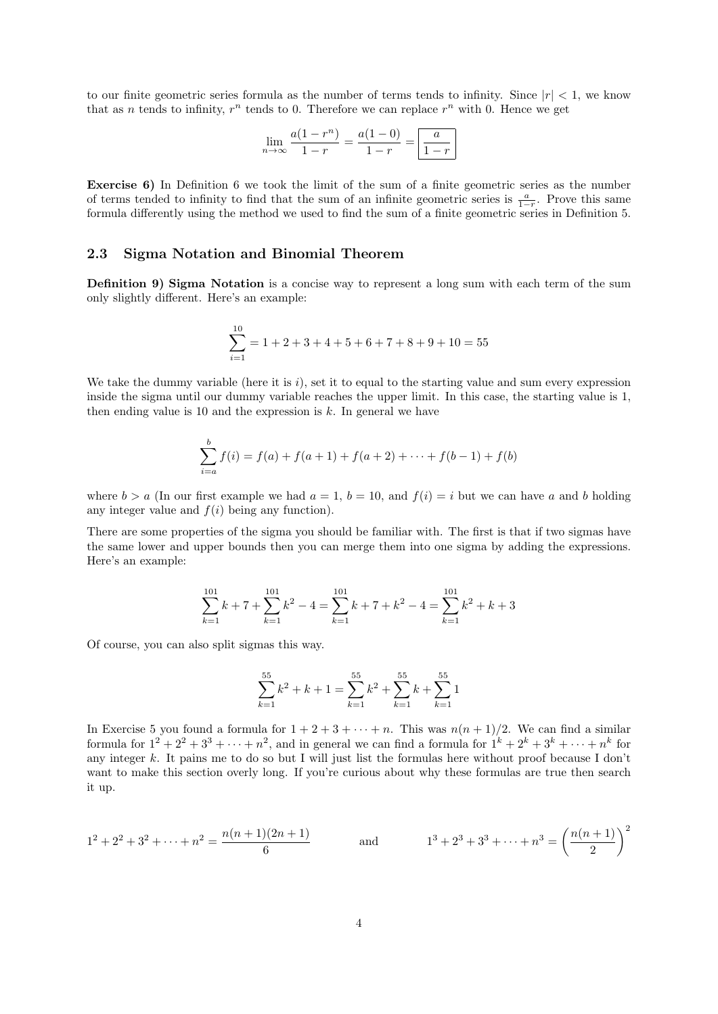to our finite geometric series formula as the number of terms tends to infinity. Since  $|r| < 1$ , we know that as *n* tends to infinity,  $r^n$  tends to 0. Therefore we can replace  $r^n$  with 0. Hence we get

$$
\lim_{n \to \infty} \frac{a(1 - r^n)}{1 - r} = \frac{a(1 - 0)}{1 - r} = \boxed{\frac{a}{1 - r}}
$$

Exercise 6) In Definition 6 we took the limit of the sum of a finite geometric series as the number of terms tended to infinity to find that the sum of an infinite geometric series is  $\frac{a}{1-r}$ . Prove this same formula differently using the method we used to find the sum of a finite geometric series in Definition 5.

### 2.3 Sigma Notation and Binomial Theorem

Definition 9) Sigma Notation is a concise way to represent a long sum with each term of the sum only slightly different. Here's an example:

$$
\sum_{i=1}^{10} = 1 + 2 + 3 + 4 + 5 + 6 + 7 + 8 + 9 + 10 = 55
$$

We take the dummy variable (here it is  $i$ ), set it to equal to the starting value and sum every expression inside the sigma until our dummy variable reaches the upper limit. In this case, the starting value is 1, then ending value is 10 and the expression is  $k$ . In general we have

$$
\sum_{i=a}^{b} f(i) = f(a) + f(a+1) + f(a+2) + \dots + f(b-1) + f(b)
$$

where  $b > a$  (In our first example we had  $a = 1$ ,  $b = 10$ , and  $f(i) = i$  but we can have a and b holding any integer value and  $f(i)$  being any function).

There are some properties of the sigma you should be familiar with. The first is that if two sigmas have the same lower and upper bounds then you can merge them into one sigma by adding the expressions. Here's an example:

$$
\sum_{k=1}^{101} k + 7 + \sum_{k=1}^{101} k^2 - 4 = \sum_{k=1}^{101} k + 7 + k^2 - 4 = \sum_{k=1}^{101} k^2 + k + 3
$$

Of course, you can also split sigmas this way.

$$
\sum_{k=1}^{55} k^2 + k + 1 = \sum_{k=1}^{55} k^2 + \sum_{k=1}^{55} k + \sum_{k=1}^{55} 1
$$

In Exercise 5 you found a formula for  $1 + 2 + 3 + \cdots + n$ . This was  $n(n + 1)/2$ . We can find a similar formula for  $1^2 + 2^2 + 3^3 + \cdots + n^2$ , and in general we can find a formula for  $1^k + 2^k + 3^k + \cdots + n^k$  for any integer k. It pains me to do so but I will just list the formulas here without proof because I don't want to make this section overly long. If you're curious about why these formulas are true then search it up.

$$
1^2 + 2^2 + 3^2 + \dots + n^2 = \frac{n(n+1)(2n+1)}{6}
$$
 and 
$$
1^3 + 2^3 + 3^3 + \dots + n^3 = \left(\frac{n(n+1)}{2}\right)^2
$$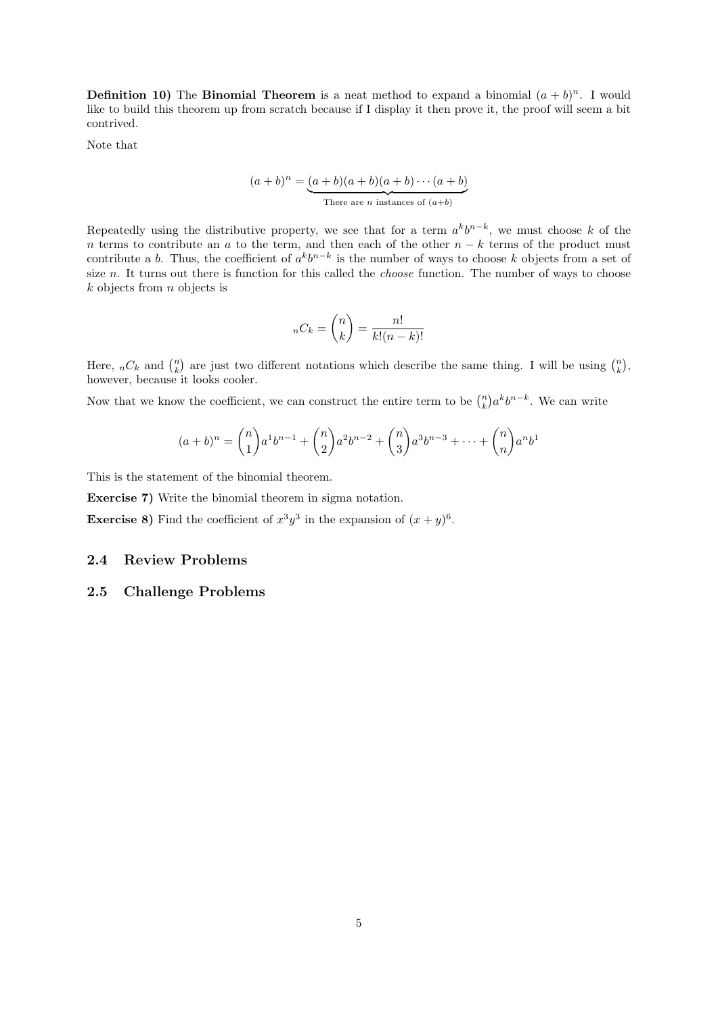**Definition 10)** The **Binomial Theorem** is a neat method to expand a binomial  $(a + b)^n$ . I would like to build this theorem up from scratch because if I display it then prove it, the proof will seem a bit contrived.

Note that

$$
(a+b)^n = \underbrace{(a+b)(a+b)(a+b)\cdots(a+b)}_{\text{There are } n \text{ instances of } (a+b)}
$$

Repeatedly using the distributive property, we see that for a term  $a^kb^{n-k}$ , we must choose k of the n terms to contribute an a to the term, and then each of the other  $n - k$  terms of the product must contribute a b. Thus, the coefficient of  $a^k b^{n-k}$  is the number of ways to choose k objects from a set of size n. It turns out there is function for this called the *choose* function. The number of ways to choose  $k$  objects from  $n$  objects is

$$
{}_{n}C_{k} = \binom{n}{k} = \frac{n!}{k!(n-k)!}
$$

Here,  ${}_{n}C_{k}$  and  $\binom{n}{k}$  are just two different notations which describe the same thing. I will be using  $\binom{n}{k}$ , however, because it looks cooler.

Now that we know the coefficient, we can construct the entire term to be  $\binom{n}{k} a^k b^{n-k}$ . We can write

$$
(a+b)^n = \binom{n}{1} a^1 b^{n-1} + \binom{n}{2} a^2 b^{n-2} + \binom{n}{3} a^3 b^{n-3} + \dots + \binom{n}{n} a^n b^1
$$

This is the statement of the binomial theorem.

Exercise 7) Write the binomial theorem in sigma notation.

**Exercise 8)** Find the coefficient of  $x^3y^3$  in the expansion of  $(x+y)^6$ .

### 2.4 Review Problems

### 2.5 Challenge Problems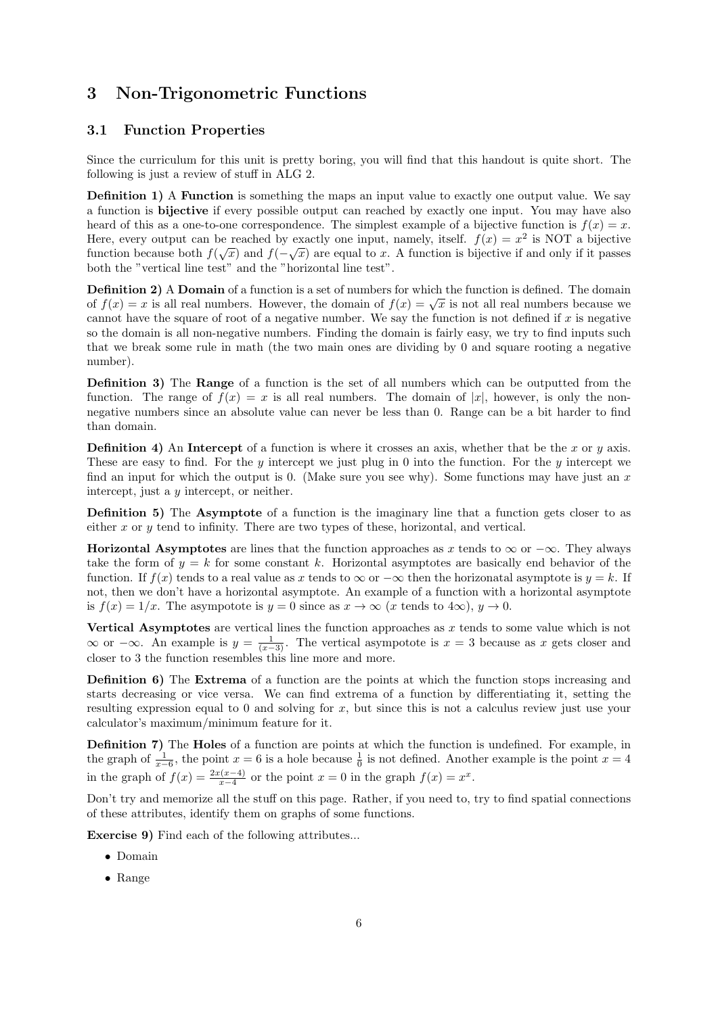# 3 Non-Trigonometric Functions

### 3.1 Function Properties

Since the curriculum for this unit is pretty boring, you will find that this handout is quite short. The following is just a review of stuff in ALG 2.

**Definition 1)** A **Function** is something the maps an input value to exactly one output value. We say a function is bijective if every possible output can reached by exactly one input. You may have also heard of this as a one-to-one correspondence. The simplest example of a bijective function is  $f(x) = x$ . Here, every output can be reached by exactly one input, namely, itself.  $f(x) = x^2$  is NOT a bijective function because both  $f(\sqrt{x})$  and  $f(-\sqrt{x})$  are equal to x. A function is bijective if and only if it passes both the "vertical line test" and the "horizontal line test".

Definition 2) A Domain of a function is a set of numbers for which the function is defined. The domain **Definition 2)** A **Domain** of a function is a set of numbers for which the function is defined. The domain of  $f(x) = \sqrt{x}$  is not all real numbers because we cannot have the square of root of a negative number. We say the function is not defined if x is negative so the domain is all non-negative numbers. Finding the domain is fairly easy, we try to find inputs such that we break some rule in math (the two main ones are dividing by 0 and square rooting a negative number).

Definition 3) The Range of a function is the set of all numbers which can be outputted from the function. The range of  $f(x) = x$  is all real numbers. The domain of |x|, however, is only the nonnegative numbers since an absolute value can never be less than 0. Range can be a bit harder to find than domain.

**Definition 4)** An Intercept of a function is where it crosses an axis, whether that be the  $x$  or  $y$  axis. These are easy to find. For the y intercept we just plug in 0 into the function. For the y intercept we find an input for which the output is 0. (Make sure you see why). Some functions may have just an  $x$ intercept, just a y intercept, or neither.

Definition 5) The Asymptote of a function is the imaginary line that a function gets closer to as either x or y tend to infinity. There are two types of these, horizontal, and vertical.

**Horizontal Asymptotes** are lines that the function approaches as x tends to  $\infty$  or  $-\infty$ . They always take the form of  $y = k$  for some constant k. Horizontal asymptotes are basically end behavior of the function. If  $f(x)$  tends to a real value as x tends to  $\infty$  or  $-\infty$  then the horizonatal asymptote is  $y = k$ . If not, then we don't have a horizontal asymptote. An example of a function with a horizontal asymptote is  $f(x) = 1/x$ . The asympotote is  $y = 0$  since as  $x \to \infty$  (x tends to  $4\infty$ ),  $y \to 0$ .

Vertical Asymptotes are vertical lines the function approaches as  $x$  tends to some value which is not ∞ or  $-\infty$ . An example is  $y = \frac{1}{(x-3)}$ . The vertical asympotote is  $x = 3$  because as x gets closer and closer to 3 the function resembles this line more and more.

Definition 6) The Extrema of a function are the points at which the function stops increasing and starts decreasing or vice versa. We can find extrema of a function by differentiating it, setting the resulting expression equal to 0 and solving for x, but since this is not a calculus review just use your calculator's maximum/minimum feature for it.

Definition 7) The Holes of a function are points at which the function is undefined. For example, in the graph of  $\frac{1}{x-6}$ , the point  $x = 6$  is a hole because  $\frac{1}{0}$  is not defined. Another example is the point  $x = 4$ in the graph of  $f(x) = \frac{2x(x-4)}{x-4}$  or the point  $x = 0$  in the graph  $f(x) = x^x$ .

Don't try and memorize all the stuff on this page. Rather, if you need to, try to find spatial connections of these attributes, identify them on graphs of some functions.

Exercise 9) Find each of the following attributes...

- Domain
- Range